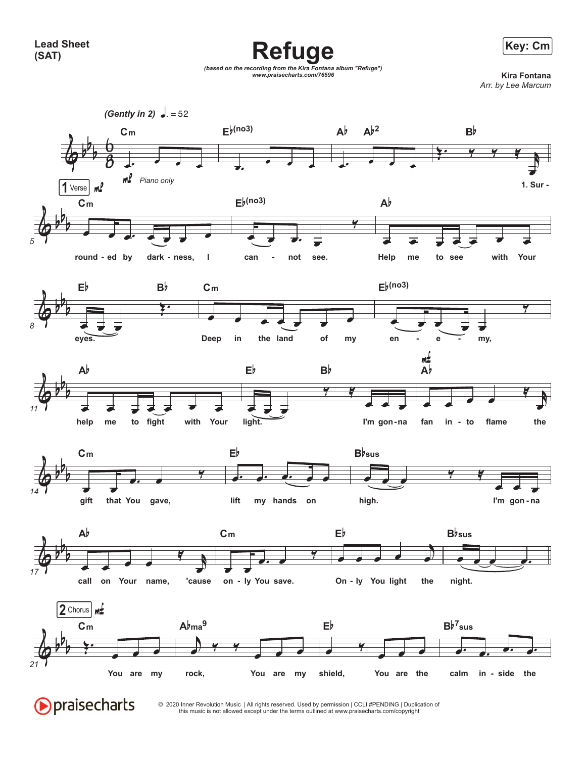Refuge **Example 2018 Refuge** 



*(based on the recording from the Kira Fontana album "Refuge") www.praisecharts.com/76596* **Kira Fontana**





this music is not allowed except under the terms outlined at www.praisecharts.com/copyright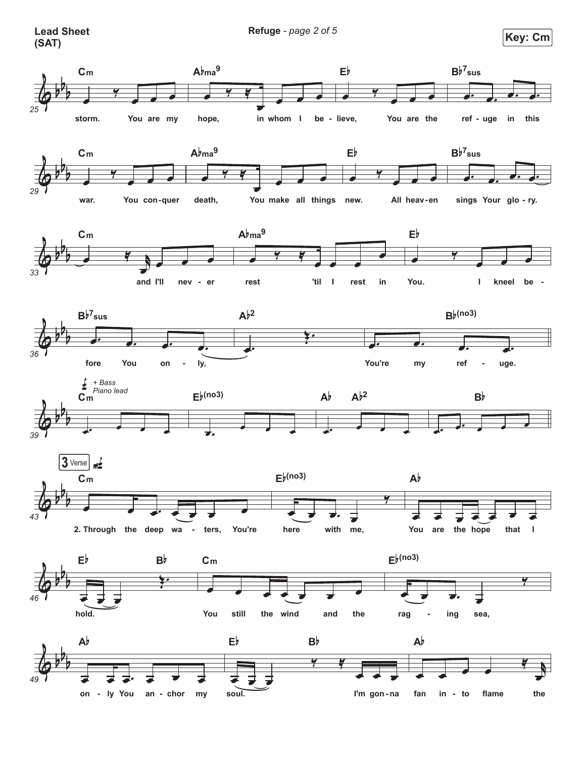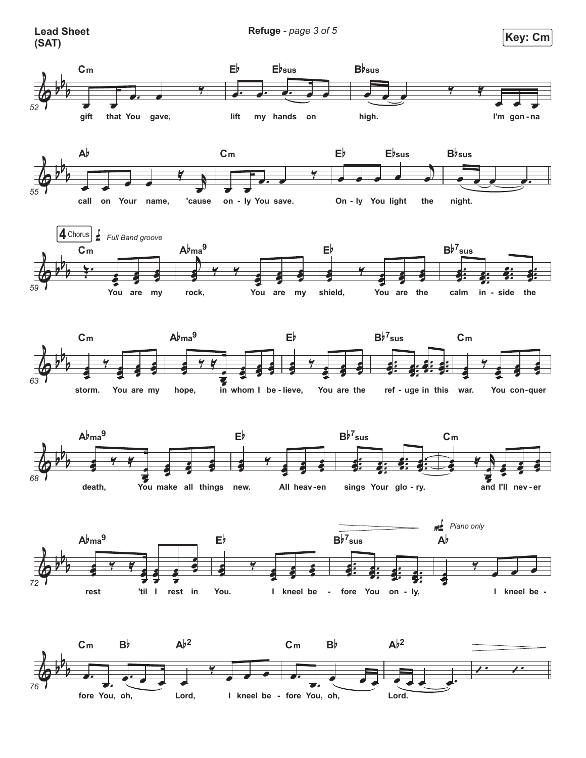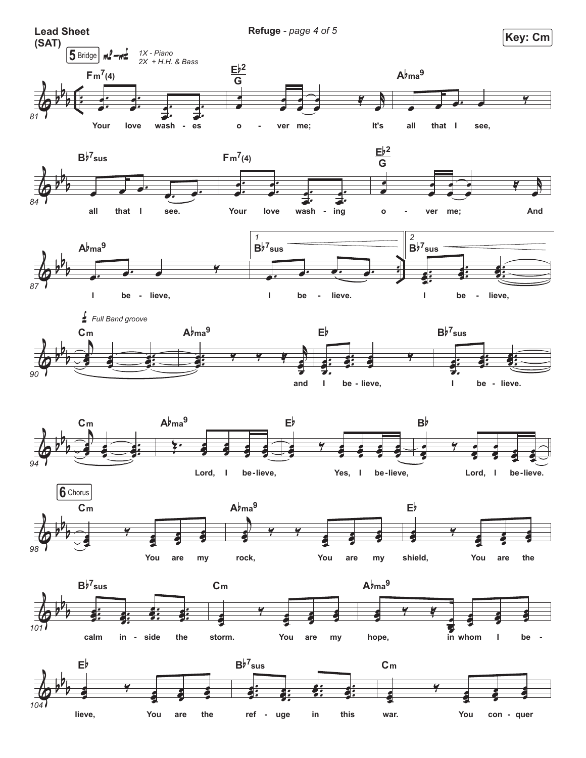